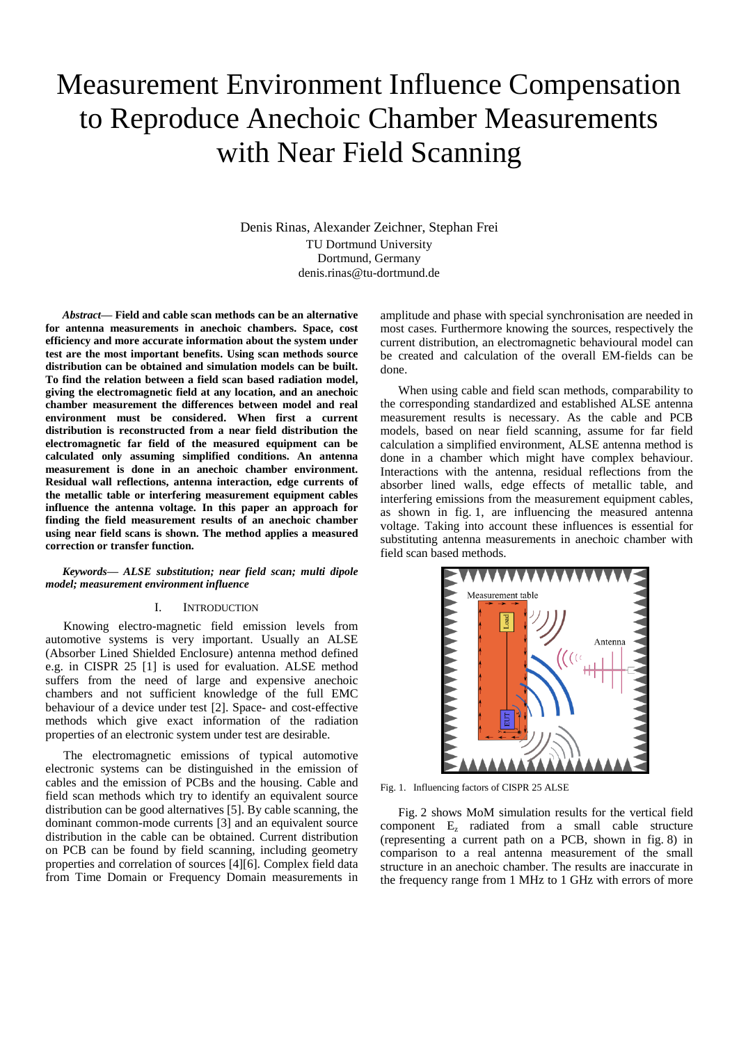# Measurement Environment Influence Compensation to Reproduce Anechoic Chamber Measurements with Near Field Scanning

Denis Rinas, Alexander Zeichner, Stephan Frei TU Dortmund University Dortmund, Germany denis.rinas@tu-dortmund.de

*Abstract***— Field and cable scan methods can be an alternative for antenna measurements in anechoic chambers. Space, cost efficiency and more accurate information about the system under test are the most important benefits. Using scan methods source distribution can be obtained and simulation models can be built. To find the relation between a field scan based radiation model, giving the electromagnetic field at any location, and an anechoic chamber measurement the differences between model and real environment must be considered. When first a current distribution is reconstructed from a near field distribution the electromagnetic far field of the measured equipment can be calculated only assuming simplified conditions. An antenna measurement is done in an anechoic chamber environment. Residual wall reflections, antenna interaction, edge currents of the metallic table or interfering measurement equipment cables influence the antenna voltage. In this paper an approach for finding the field measurement results of an anechoic chamber using near field scans is shown. The method applies a measured correction or transfer function.** 

## *Keywords— ALSE substitution; near field scan; multi dipole model; measurement environment influence*

# I. INTRODUCTION

Knowing electro-magnetic field emission levels from automotive systems is very important. Usually an ALSE (Absorber Lined Shielded Enclosure) antenna method defined e.g. in CISPR 25 [1] is used for evaluation. ALSE method suffers from the need of large and expensive anechoic chambers and not sufficient knowledge of the full EMC behaviour of a device under test [2]. Space- and cost-effective methods which give exact information of the radiation properties of an electronic system under test are desirable.

The electromagnetic emissions of typical automotive electronic systems can be distinguished in the emission of cables and the emission of PCBs and the housing. Cable and field scan methods which try to identify an equivalent source distribution can be good alternatives [5]. By cable scanning, the dominant common-mode currents [3] and an equivalent source distribution in the cable can be obtained. Current distribution on PCB can be found by field scanning, including geometry properties and correlation of sources [4][6]. Complex field data from Time Domain or Frequency Domain measurements in amplitude and phase with special synchronisation are needed in most cases. Furthermore knowing the sources, respectively the current distribution, an electromagnetic behavioural model can be created and calculation of the overall EM-fields can be done.

When using cable and field scan methods, comparability to the corresponding standardized and established ALSE antenna measurement results is necessary. As the cable and PCB models, based on near field scanning, assume for far field calculation a simplified environment, ALSE antenna method is done in a chamber which might have complex behaviour. Interactions with the antenna, residual reflections from the absorber lined walls, edge effects of metallic table, and interfering emissions from the measurement equipment cables, as shown in fig. 1, are influencing the measured antenna voltage. Taking into account these influences is essential for substituting antenna measurements in anechoic chamber with field scan based methods.



Fig. 1. Influencing factors of CISPR 25 ALSE

Fig. 2 shows MoM simulation results for the vertical field component E<sup>z</sup> radiated from a small cable structure (representing a current path on a PCB, shown in fig. 8) in comparison to a real antenna measurement of the small structure in an anechoic chamber. The results are inaccurate in the frequency range from 1 MHz to 1 GHz with errors of more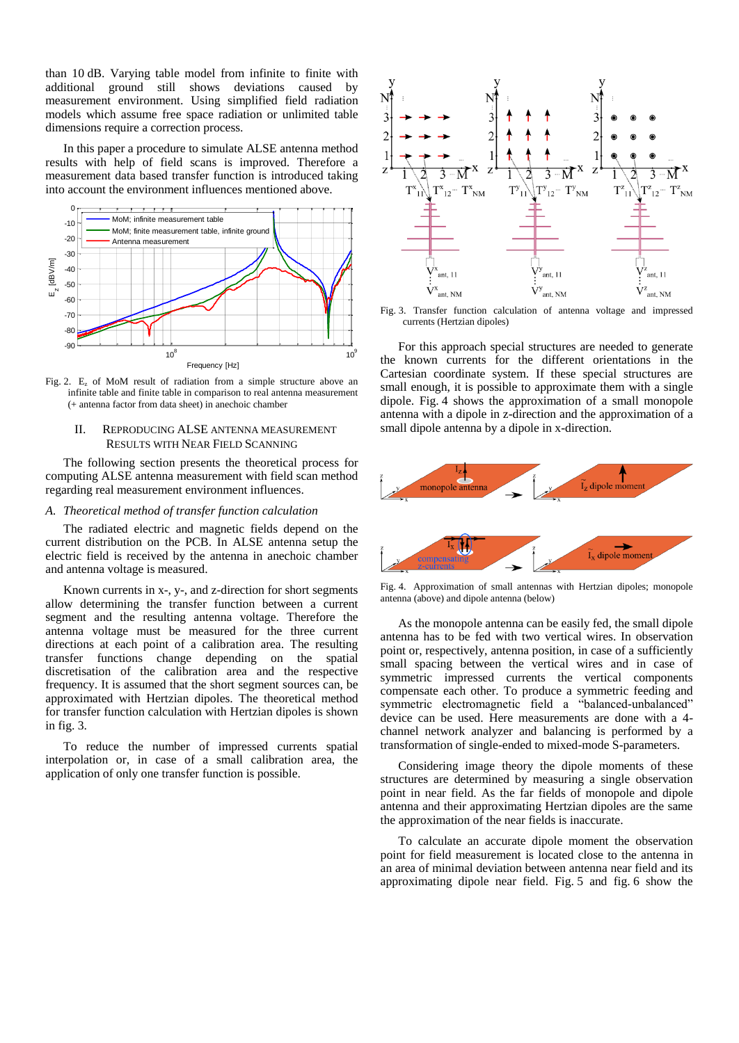than 10 dB. Varying table model from infinite to finite with additional ground still shows deviations caused by measurement environment. Using simplified field radiation models which assume free space radiation or unlimited table dimensions require a correction process.

In this paper a procedure to simulate ALSE antenna method results with help of field scans is improved. Therefore a measurement data based transfer function is introduced taking into account the environment influences mentioned above.



Fig. 2.  $E_z$  of MoM result of radiation from a simple structure above an infinite table and finite table in comparison to real antenna measurement (+ antenna factor from data sheet) in anechoic chamber

# II. REPRODUCING ALSE ANTENNA MEASUREMENT RESULTS WITH NEAR FIELD SCANNING

The following section presents the theoretical process for computing ALSE antenna measurement with field scan method regarding real measurement environment influences.

# *A. Theoretical method of transfer function calculation*

The radiated electric and magnetic fields depend on the current distribution on the PCB. In ALSE antenna setup the electric field is received by the antenna in anechoic chamber and antenna voltage is measured.

Known currents in x-, y-, and z-direction for short segments allow determining the transfer function between a current segment and the resulting antenna voltage. Therefore the antenna voltage must be measured for the three current directions at each point of a calibration area. The resulting transfer functions change depending on the spatial discretisation of the calibration area and the respective frequency. It is assumed that the short segment sources can, be approximated with Hertzian dipoles. The theoretical method for transfer function calculation with Hertzian dipoles is shown in fig. 3.

To reduce the number of impressed currents spatial interpolation or, in case of a small calibration area, the application of only one transfer function is possible.



Fig. 3. Transfer function calculation of antenna voltage and impressed currents (Hertzian dipoles)

For this approach special structures are needed to generate the known currents for the different orientations in the Cartesian coordinate system. If these special structures are small enough, it is possible to approximate them with a single dipole. Fig. 4 shows the approximation of a small monopole antenna with a dipole in z-direction and the approximation of a small dipole antenna by a dipole in x-direction.



Fig. 4. Approximation of small antennas with Hertzian dipoles; monopole antenna (above) and dipole antenna (below)

As the monopole antenna can be easily fed, the small dipole antenna has to be fed with two vertical wires. In observation point or, respectively, antenna position, in case of a sufficiently small spacing between the vertical wires and in case of symmetric impressed currents the vertical components compensate each other. To produce a symmetric feeding and symmetric electromagnetic field a "balanced-unbalanced" device can be used. Here measurements are done with a 4 channel network analyzer and balancing is performed by a transformation of single-ended to mixed-mode S-parameters.

Considering image theory the dipole moments of these structures are determined by measuring a single observation point in near field. As the far fields of monopole and dipole antenna and their approximating Hertzian dipoles are the same the approximation of the near fields is inaccurate.

To calculate an accurate dipole moment the observation point for field measurement is located close to the antenna in an area of minimal deviation between antenna near field and its approximating dipole near field. Fig. 5 and fig. 6 show the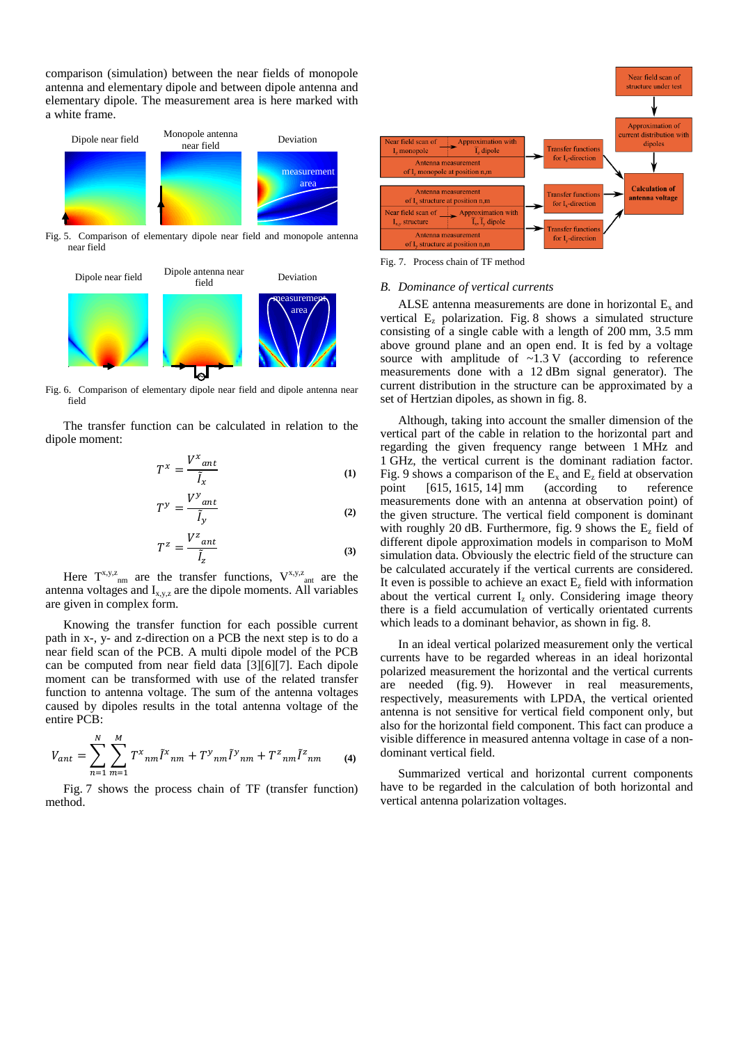comparison (simulation) between the near fields of monopole antenna and elementary dipole and between dipole antenna and elementary dipole. The measurement area is here marked with a white frame.



Fig. 5. Comparison of elementary dipole near field and monopole antenna near field



Fig. 6. Comparison of elementary dipole near field and dipole antenna near field

The transfer function can be calculated in relation to the dipole moment:

$$
T^x = \frac{V^x_{ant}}{\tilde{I}_x} \tag{1}
$$

$$
T^{\gamma} = \frac{V^{\gamma}{}_{ant}}{\tilde{I}_{\gamma}}
$$
 (2)

$$
T^z = \frac{V^z_{ant}}{\tilde{I}_z} \tag{3}
$$

Here  $T^{x,y,z}$ <sub>nm</sub> are the transfer functions,  $V^{x,y,z}$ <sub>ant</sub> are the antenna voltages and  $I_{x,y,z}$  are the dipole moments. All variables are given in complex form.

Knowing the transfer function for each possible current path in x-, y- and z-direction on a PCB the next step is to do a near field scan of the PCB. A multi dipole model of the PCB can be computed from near field data [3][6][7]. Each dipole moment can be transformed with use of the related transfer function to antenna voltage. The sum of the antenna voltages caused by dipoles results in the total antenna voltage of the entire PCB:

$$
V_{ant} = \sum_{n=1}^{N} \sum_{m=1}^{M} T^{x}_{nm} \tilde{l}^{x}_{nm} + T^{y}_{nm} \tilde{l}^{y}_{nm} + T^{z}_{nm} \tilde{l}^{z}_{nm}
$$
 (4)

Fig. 7 shows the process chain of TF (transfer function) method.



Fig. 7. Process chain of TF method

#### *B. Dominance of vertical currents*

ALSE antenna measurements are done in horizontal  $E_x$  and vertical E<sup>z</sup> polarization. Fig. 8 shows a simulated structure consisting of a single cable with a length of 200 mm, 3.5 mm above ground plane and an open end. It is fed by a voltage source with amplitude of  $\sim$ 1.3 V (according to reference measurements done with a 12 dBm signal generator). The current distribution in the structure can be approximated by a set of Hertzian dipoles, as shown in fig. 8.

Although, taking into account the smaller dimension of the vertical part of the cable in relation to the horizontal part and regarding the given frequency range between 1 MHz and 1 GHz, the vertical current is the dominant radiation factor. Fig. 9 shows a comparison of the  $E_x$  and  $E_z$  field at observation point [615, 1615, 14] mm (according to reference measurements done with an antenna at observation point) of the given structure. The vertical field component is dominant with roughly 20 dB. Furthermore, fig. 9 shows the  $E<sub>z</sub>$  field of different dipole approximation models in comparison to MoM simulation data. Obviously the electric field of the structure can be calculated accurately if the vertical currents are considered. It even is possible to achieve an exact  $E<sub>z</sub>$  field with information about the vertical current  $I_z$  only. Considering image theory there is a field accumulation of vertically orientated currents which leads to a dominant behavior, as shown in fig. 8.

In an ideal vertical polarized measurement only the vertical currents have to be regarded whereas in an ideal horizontal polarized measurement the horizontal and the vertical currents are needed (fig. 9). However in real measurements, respectively, measurements with LPDA, the vertical oriented antenna is not sensitive for vertical field component only, but also for the horizontal field component. This fact can produce a visible difference in measured antenna voltage in case of a nondominant vertical field.

Summarized vertical and horizontal current components have to be regarded in the calculation of both horizontal and vertical antenna polarization voltages.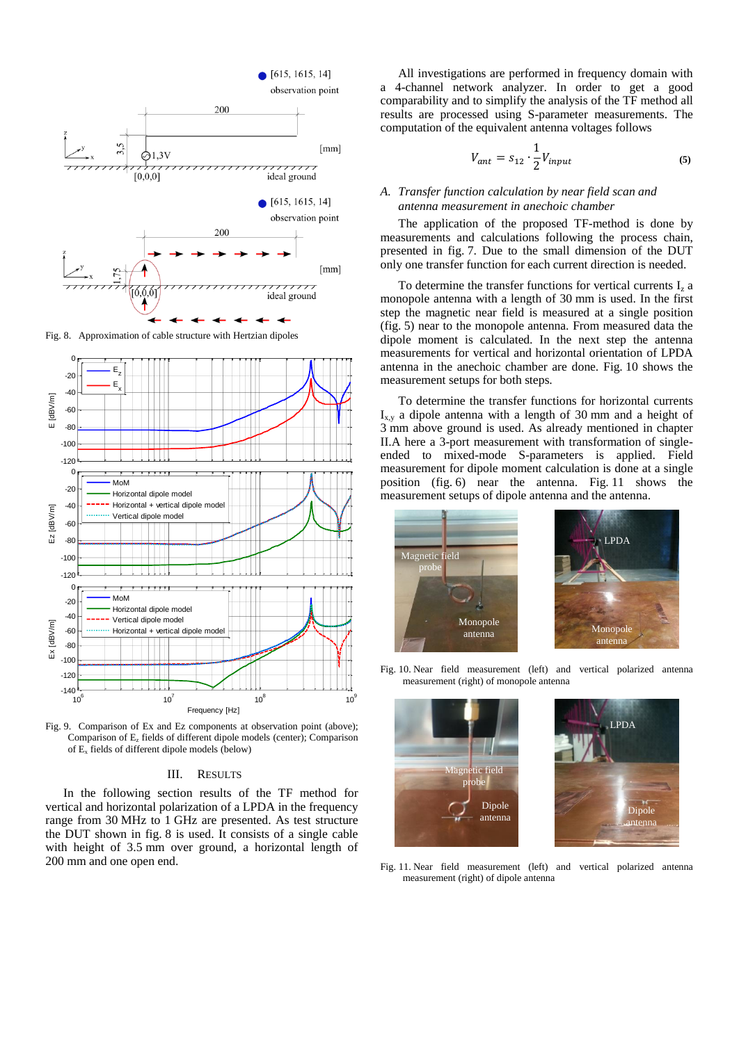

Fig. 8. Approximation of cable structure with Hertzian dipoles



Fig. 9. Comparison of Ex and Ez components at observation point (above); Comparison of E<sup>z</sup> fields of different dipole models (center); Comparison of E<sup>x</sup> fields of different dipole models (below)

#### III. RESULTS

In the following section results of the TF method for vertical and horizontal polarization of a LPDA in the frequency range from 30 MHz to 1 GHz are presented. As test structure the DUT shown in fig. 8 is used. It consists of a single cable with height of 3.5 mm over ground, a horizontal length of 200 mm and one open end.

All investigations are performed in frequency domain with a 4-channel network analyzer. In order to get a good comparability and to simplify the analysis of the TF method all results are processed using S-parameter measurements. The computation of the equivalent antenna voltages follows

$$
V_{ant} = s_{12} \cdot \frac{1}{2} V_{input}
$$
 (5)

# *A. Transfer function calculation by near field scan and antenna measurement in anechoic chamber*

The application of the proposed TF-method is done by measurements and calculations following the process chain, presented in fig. 7. Due to the small dimension of the DUT only one transfer function for each current direction is needed.

To determine the transfer functions for vertical currents  $I_z$  a monopole antenna with a length of 30 mm is used. In the first step the magnetic near field is measured at a single position (fig. 5) near to the monopole antenna. From measured data the dipole moment is calculated. In the next step the antenna measurements for vertical and horizontal orientation of LPDA antenna in the anechoic chamber are done. Fig. 10 shows the measurement setups for both steps.

To determine the transfer functions for horizontal currents  $I_{xx}$  a dipole antenna with a length of 30 mm and a height of 3 mm above ground is used. As already mentioned in chapter II.A here a 3-port measurement with transformation of singleended to mixed-mode S-parameters is applied. Field measurement for dipole moment calculation is done at a single position (fig. 6) near the antenna. Fig. 11 shows the measurement setups of dipole antenna and the antenna.



Fig. 10. Near field measurement (left) and vertical polarized antenna measurement (right) of monopole antenna





Fig. 11. Near field measurement (left) and vertical polarized antenna measurement (right) of dipole antenna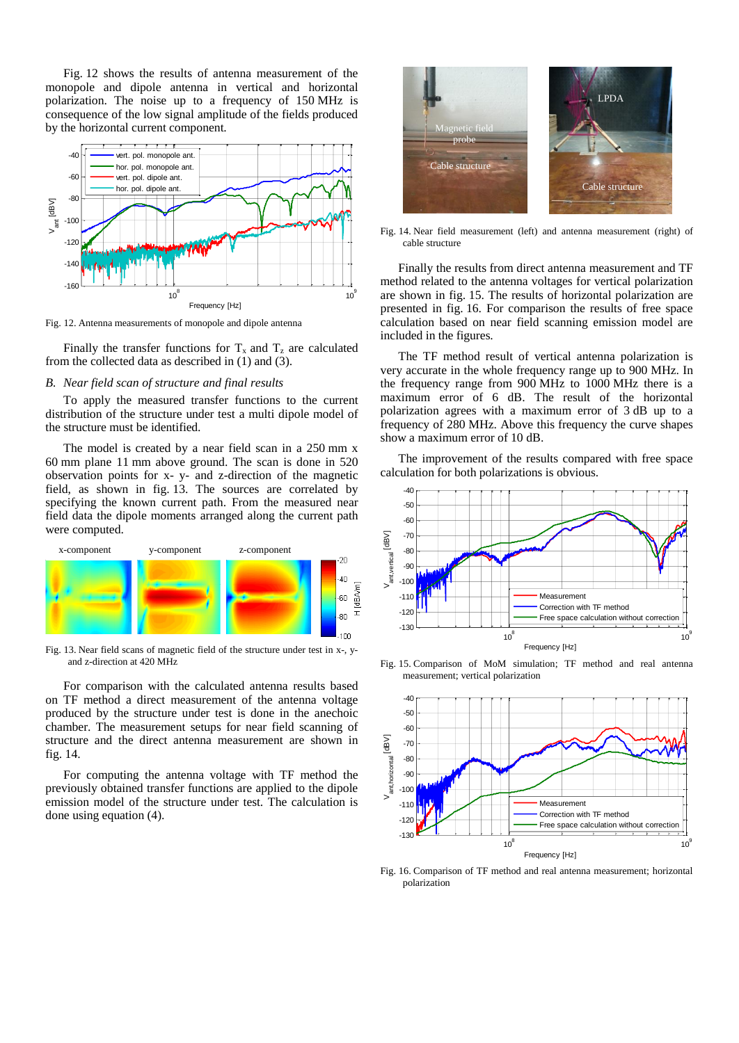Fig. 12 shows the results of antenna measurement of the monopole and dipole antenna in vertical and horizontal polarization. The noise up to a frequency of 150 MHz is consequence of the low signal amplitude of the fields produced by the horizontal current component.



Fig. 12. Antenna measurements of monopole and dipole antenna

Finally the transfer functions for  $T_x$  and  $T_z$  are calculated from the collected data as described in (1) and (3).

# *B. Near field scan of structure and final results*

To apply the measured transfer functions to the current distribution of the structure under test a multi dipole model of the structure must be identified.

The model is created by a near field scan in a 250 mm x 60 mm plane 11 mm above ground. The scan is done in 520 observation points for x- y- and z-direction of the magnetic field, as shown in fig. 13. The sources are correlated by specifying the known current path. From the measured near field data the dipole moments arranged along the current path were computed.



Fig. 13. Near field scans of magnetic field of the structure under test in x-, yand z-direction at 420 MHz

For comparison with the calculated antenna results based on TF method a direct measurement of the antenna voltage produced by the structure under test is done in the anechoic chamber. The measurement setups for near field scanning of structure and the direct antenna measurement are shown in fig. 14.

For computing the antenna voltage with TF method the previously obtained transfer functions are applied to the dipole emission model of the structure under test. The calculation is done using equation (4).



Fig. 14. Near field measurement (left) and antenna measurement (right) of cable structure

Finally the results from direct antenna measurement and TF method related to the antenna voltages for vertical polarization are shown in fig. 15. The results of horizontal polarization are presented in fig. 16. For comparison the results of free space calculation based on near field scanning emission model are included in the figures.

The TF method result of vertical antenna polarization is very accurate in the whole frequency range up to 900 MHz. In the frequency range from 900 MHz to 1000 MHz there is a maximum error of 6 dB. The result of the horizontal polarization agrees with a maximum error of 3 dB up to a frequency of 280 MHz. Above this frequency the curve shapes show a maximum error of 10 dB.

The improvement of the results compared with free space calculation for both polarizations is obvious.



Fig. 15. Comparison of MoM simulation; TF method and real antenna measurement; vertical polarization



Fig. 16. Comparison of TF method and real antenna measurement; horizontal polarization